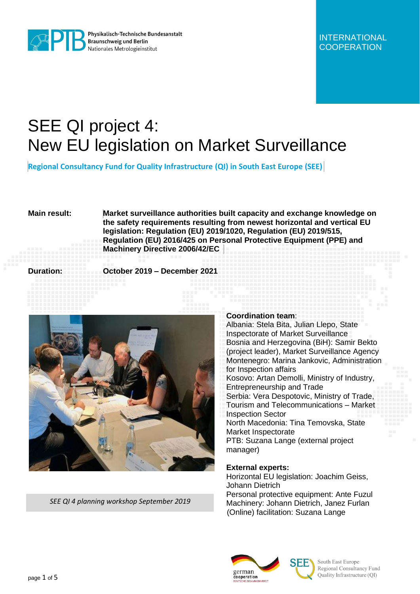

# SEE QI project 4: New EU legislation on Market Surveillance

**Regional Consultancy Fund for Quality Infrastructure (QI) in South East Europe (SEE)**

**Main result: Market surveillance authorities built capacity and exchange knowledge on the safety requirements resulting from newest horizontal and vertical EU legislation: Regulation (EU) 2019/1020, Regulation (EU) 2019/515, Regulation (EU) 2016/425 on Personal Protective Equipment (PPE) and Machinery Directive 2006/42/EC**

**Duration: October 2019 – December 2021**



*SEE QI 4 planning workshop September 2019* 

## **Coordination team**:

Albania: Stela Bita, Julian Llepo, State Inspectorate of Market Surveillance Bosnia and Herzegovina (BiH): Samir Bekto (project leader), Market Surveillance Agency Montenegro: Marina Jankovic, Administration for Inspection affairs Kosovo: Artan Demolli, Ministry of Industry, Entrepreneurship and Trade Serbia: Vera Despotovic, Ministry of Trade, Tourism and Telecommunications – Market Inspection Sector North Macedonia: Tina Temovska, State Market Inspectorate PTB: Suzana Lange (external project manager)

# **External experts:**

Horizontal EU legislation: Joachim Geiss, Johann Dietrich Personal protective equipment: Ante Fuzul Machinery: Johann Dietrich, Janez Furlan (Online) facilitation: Suzana Lange



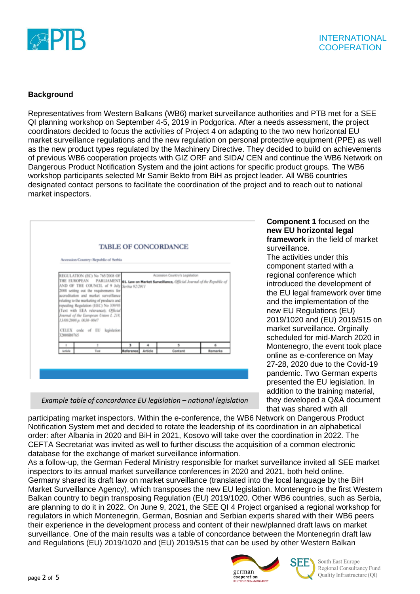

# **Background**

Representatives from Western Balkans (WB6) market surveillance authorities and PTB met for a SEE QI planning workshop on September 4-5, 2019 in Podgorica. After a needs assessment, the project coordinators decided to focus the activities of Project 4 on adapting to the two new horizontal EU market surveillance regulations and the new regulation on personal protective equipment (PPE) as well as the new product types regulated by the Machinery Directive. They decided to build on achievements of previous WB6 cooperation projects with GIZ ORF and SIDA/ CEN and continue the WB6 Network on Dangerous Product Notification System and the joint actions for specific product groups. The WB6 workshop participants selected Mr Samir Bekto from BiH as project leader. All WB6 countries designated contact persons to facilitate the coordination of the project and to reach out to national market inspectors.

|              | Accession Country: Republic of Serbia                                                                                                                                                                                                                                                                                                                                                                                                                                                         |                |              |                                 |                     |
|--------------|-----------------------------------------------------------------------------------------------------------------------------------------------------------------------------------------------------------------------------------------------------------------------------------------------------------------------------------------------------------------------------------------------------------------------------------------------------------------------------------------------|----------------|--------------|---------------------------------|---------------------|
|              |                                                                                                                                                                                                                                                                                                                                                                                                                                                                                               |                |              |                                 |                     |
| 3200880765   | REGULATION (EC) No 765/2008 OF<br>THE EUROPEAN PARLIAMENT 01. Law on Market Surveillance, Official Journal of the Republic of<br>AND OF THE COUNCIL of 9 July Serbia 92/2011<br>2008 setting out the requirements for<br>accreditation and market surveillance<br>relating to the marketing of products and<br>repealing Regulation (EEC) No 339/93<br>(Text with EEA relevance); Official<br>Journal of the European Union L 218.<br>J3/08/2008 p. 0030-0047<br>CELEX code of EU legislation |                |              | Accession Country's Legislation |                     |
| ×<br>Article | $\mathbf{z}$<br>Test                                                                                                                                                                                                                                                                                                                                                                                                                                                                          | 3<br>Reference | 4<br>Article | s<br>Content                    | $\alpha$<br>Remarks |

**Component 1** focused on the **new EU horizontal legal framework** in the field of market surveillance.

The activities under this component started with a regional conference which introduced the development of the EU legal framework over time and the implementation of the new EU Regulations (EU) 2019/1020 and (EU) 2019/515 on market surveillance. Orginally scheduled for mid-March 2020 in Montenegro, the event took place online as e-conference on May 27-28, 2020 due to the Covid-19 pandemic. Two German experts presented the EU legislation. In addition to the training material, they developed a Q&A document that was shared with all

*Example table of concordance EU legislation – national legislation*

participating market inspectors. Within the e-conference, the WB6 Network on Dangerous Product Notification System met and decided to rotate the leadership of its coordination in an alphabetical order: after Albania in 2020 and BiH in 2021, Kosovo will take over the coordination in 2022. The CEFTA Secretariat was invited as well to further discuss the acquisition of a common electronic database for the exchange of market surveillance information.

As a follow-up, the German Federal Ministry responsible for market surveillance invited all SEE market inspectors to its annual market surveillance conferences in 2020 and 2021, both held online. Germany shared its draft law on market surveillance (translated into the local language by the BiH Market Surveillance Agency), which transposes the new EU legislation. Montenegro is the first Western Balkan country to begin transposing Regulation (EU) 2019/1020. Other WB6 countries, such as Serbia, are planning to do it in 2022. On June 9, 2021, the SEE QI 4 Project organised a regional workshop for regulators in which Montenegrin, German, Bosnian and Serbian experts shared with their WB6 peers their experience in the development process and content of their new/planned draft laws on market surveillance. One of the main results was a table of concordance between the Montenegrin draft law and Regulations (EU) 2019/1020 and (EU) 2019/515 that can be used by other Western Balkan





South East Europe Regional Consultancy Fund Quality Infrastructure (QI)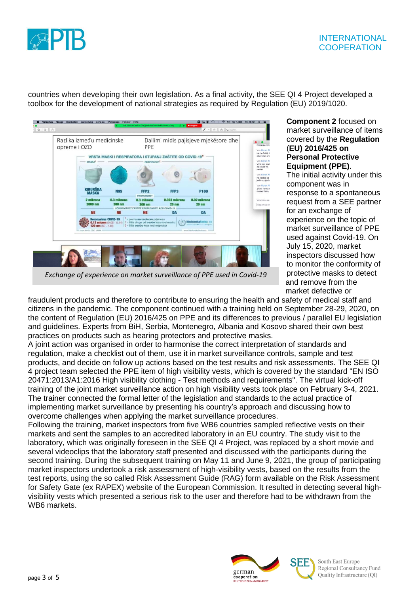

# **INTERNATIONAL COOPERATION**

countries when developing their own legislation. As a final activity, the SEE QI 4 Project developed a toolbox for the development of national strategies as required by Regulation (EU) 2019/1020.



## **Component 2** focused on market surveillance of items covered by the **Regulation** (**EU) 2016/425 on Personal Protective Equipment (PPE)**.

The initial activity under this component was in response to a spontaneous request from a SEE partner for an exchange of experience on the topic of market surveillance of PPE used against Covid-19. On July 15, 2020, market inspectors discussed how to monitor the conformity of protective masks to detect and remove from the market defective or

fraudulent products and therefore to contribute to ensuring the health and safety of medical staff and citizens in the pandemic. The component continued with a training held on September 28-29, 2020, on the content of Regulation (EU) 2016/425 on PPE and its differences to previous / parallel EU legislation and guidelines. Experts from BiH, Serbia, Montenegro, Albania and Kosovo shared their own best practices on products such as hearing protectors and protective masks.

A joint action was organised in order to harmonise the correct interpretation of standards and regulation, make a checklist out of them, use it in market surveillance controls, sample and test products, and decide on follow up actions based on the test results and risk assessments. The SEE QI 4 project team selected the PPE item of high visibility vests, which is covered by the standard "EN ISO 20471:2013/A1:2016 High visibility clothing - Test methods and requirements". The virtual kick-off training of the joint market surveillance action on high visibility vests took place on February 3-4, 2021. The trainer connected the formal letter of the legislation and standards to the actual practice of implementing market surveillance by presenting his country's approach and discussing how to overcome challenges when applying the market surveillance procedures.

Following the training, market inspectors from five WB6 countries sampled reflective vests on their markets and sent the samples to an accredited laboratory in an EU country. The study visit to the laboratory, which was originally foreseen in the SEE QI 4 Project, was replaced by a short movie and several videoclips that the laboratory staff presented and discussed with the participants during the second training. During the subsequent training on May 11 and June 9, 2021, the group of participating market inspectors undertook a risk assessment of high-visibility vests, based on the results from the test reports, using the so called Risk Assessment Guide (RAG) form available on the Risk Assessment for Safety Gate (ex RAPEX) website of the European Commission. It resulted in detecting several highvisibility vests which presented a serious risk to the user and therefore had to be withdrawn from the WB6 markets.



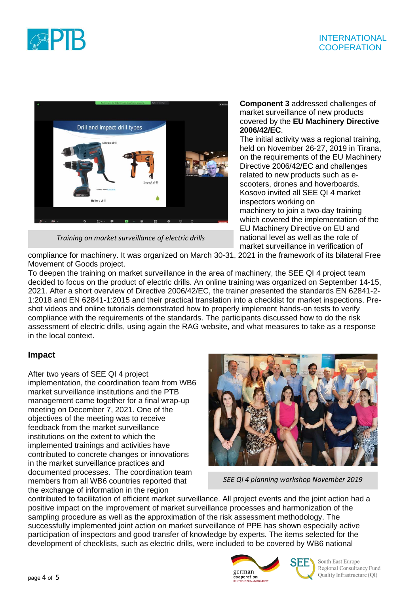





*Training on market surveillance of electric drills* 

## **Component 3** addressed challenges of market surveillance of new products covered by the **EU Machinery Directive 2006/42/EC**.

The initial activity was a regional training, held on November 26-27, 2019 in Tirana, on the requirements of the EU Machinery Directive 2006/42/EC and challenges related to new products such as escooters, drones and hoverboards. Kosovo invited all SEE QI 4 market inspectors working on machinery to join a two-day training which covered the implementation of the EU Machinery Directive on EU and national level as well as the role of market surveillance in verification of

compliance for machinery. It was organized on March 30-31, 2021 in the framework of its bilateral Free Movement of Goods project.

To deepen the training on market surveillance in the area of machinery, the SEE QI 4 project team decided to focus on the product of electric drills. An online training was organized on September 14-15, 2021. After a short overview of Directive 2006/42/EC, the trainer presented the standards EN 62841-2- 1:2018 and EN 62841-1:2015 and their practical translation into a checklist for market inspections. Preshot videos and online tutorials demonstrated how to properly implement hands-on tests to verify compliance with the requirements of the standards. The participants discussed how to do the risk assessment of electric drills, using again the RAG website, and what measures to take as a response in the local context.

# **Impact**

After two years of SEE QI 4 project implementation, the coordination team from WB6 market surveillance institutions and the PTB management came together for a final wrap-up meeting on December 7, 2021. One of the objectives of the meeting was to receive feedback from the market surveillance institutions on the extent to which the implemented trainings and activities have contributed to concrete changes or innovations in the market surveillance practices and documented processes. The coordination team members from all WB6 countries reported that the exchange of information in the region



*SEE QI 4 planning workshop November 2019* 

contributed to facilitation of efficient market surveillance. All project events and the joint action had a positive impact on the improvement of market surveillance processes and harmonization of the sampling procedure as well as the approximation of the risk assessment methodology. The successfully implemented joint action on market surveillance of PPE has shown especially active participation of inspectors and good transfer of knowledge by experts. The items selected for the development of checklists, such as electric drills, were included to be covered by WB6 national